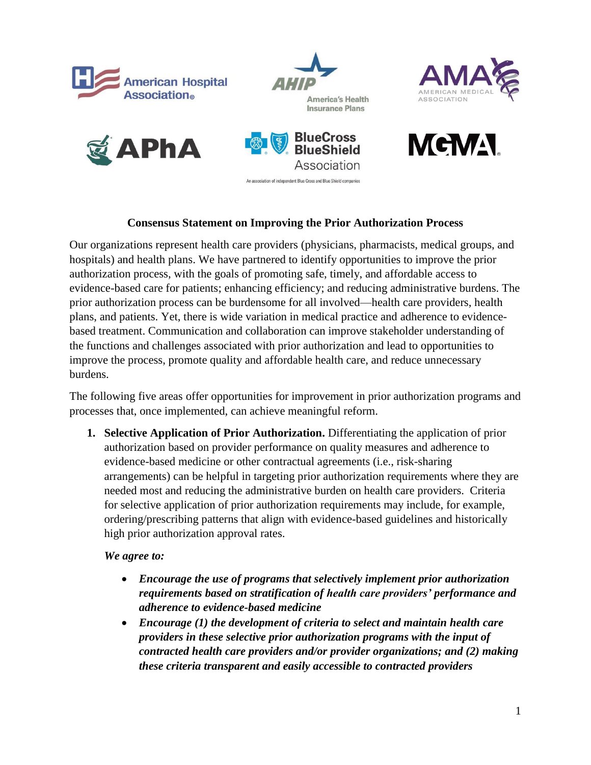













## **Consensus Statement on Improving the Prior Authorization Process**

Our organizations represent health care providers (physicians, pharmacists, medical groups, and hospitals) and health plans. We have partnered to identify opportunities to improve the prior authorization process, with the goals of promoting safe, timely, and affordable access to evidence-based care for patients; enhancing efficiency; and reducing administrative burdens. The prior authorization process can be burdensome for all involved—health care providers, health plans, and patients. Yet, there is wide variation in medical practice and adherence to evidencebased treatment. Communication and collaboration can improve stakeholder understanding of the functions and challenges associated with prior authorization and lead to opportunities to improve the process, promote quality and affordable health care, and reduce unnecessary burdens.

The following five areas offer opportunities for improvement in prior authorization programs and processes that, once implemented, can achieve meaningful reform.

**1. Selective Application of Prior Authorization.** Differentiating the application of prior authorization based on provider performance on quality measures and adherence to evidence-based medicine or other contractual agreements (i.e., risk-sharing arrangements) can be helpful in targeting prior authorization requirements where they are needed most and reducing the administrative burden on health care providers. Criteria for selective application of prior authorization requirements may include, for example, ordering/prescribing patterns that align with evidence-based guidelines and historically high prior authorization approval rates.

#### *We agree to:*

- *Encourage the use of programs that selectively implement prior authorization requirements based on stratification of health care providers' performance and adherence to evidence-based medicine*
- *Encourage (1) the development of criteria to select and maintain health care providers in these selective prior authorization programs with the input of contracted health care providers and/or provider organizations; and (2) making these criteria transparent and easily accessible to contracted providers*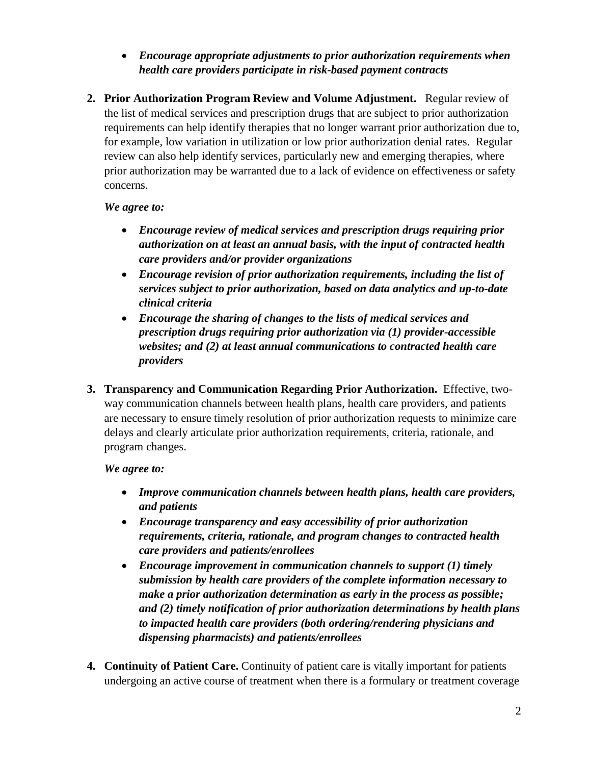## • *Encourage appropriate adjustments to prior authorization requirements when health care providers participate in risk-based payment contracts*

**2. Prior Authorization Program Review and Volume Adjustment.** Regular review of the list of medical services and prescription drugs that are subject to prior authorization requirements can help identify therapies that no longer warrant prior authorization due to, for example, low variation in utilization or low prior authorization denial rates. Regular review can also help identify services, particularly new and emerging therapies, where prior authorization may be warranted due to a lack of evidence on effectiveness or safety concerns.

#### *We agree to:*

- *Encourage review of medical services and prescription drugs requiring prior authorization on at least an annual basis, with the input of contracted health care providers and/or provider organizations*
- *Encourage revision of prior authorization requirements, including the list of services subject to prior authorization, based on data analytics and up-to-date clinical criteria*
- *Encourage the sharing of changes to the lists of medical services and prescription drugs requiring prior authorization via (1) provider-accessible websites; and (2) at least annual communications to contracted health care providers*
- **3. Transparency and Communication Regarding Prior Authorization.** Effective, twoway communication channels between health plans, health care providers, and patients are necessary to ensure timely resolution of prior authorization requests to minimize care delays and clearly articulate prior authorization requirements, criteria, rationale, and program changes.

# *We agree to:*

- *Improve communication channels between health plans, health care providers, and patients*
- *Encourage transparency and easy accessibility of prior authorization requirements, criteria, rationale, and program changes to contracted health care providers and patients/enrollees*
- *Encourage improvement in communication channels to support (1) timely submission by health care providers of the complete information necessary to make a prior authorization determination as early in the process as possible; and (2) timely notification of prior authorization determinations by health plans to impacted health care providers (both ordering/rendering physicians and dispensing pharmacists) and patients/enrollees*
- **4. Continuity of Patient Care.** Continuity of patient care is vitally important for patients undergoing an active course of treatment when there is a formulary or treatment coverage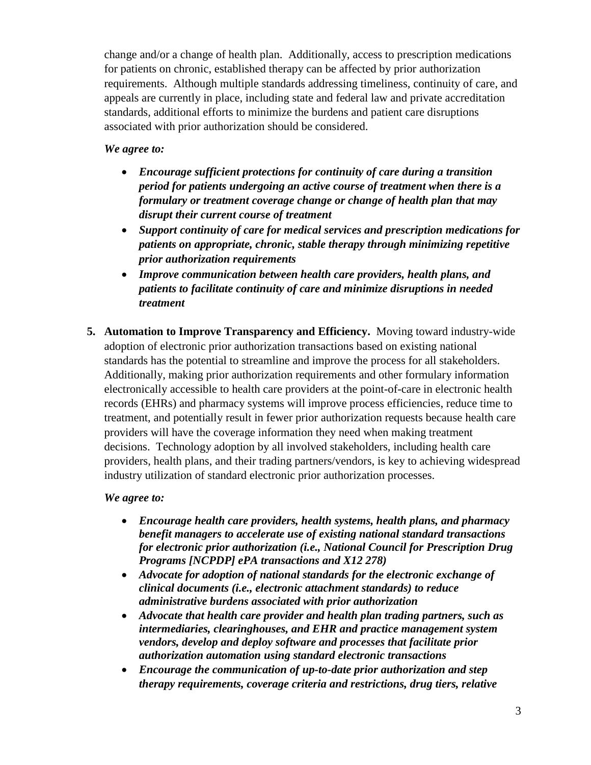change and/or a change of health plan. Additionally, access to prescription medications for patients on chronic, established therapy can be affected by prior authorization requirements. Although multiple standards addressing timeliness, continuity of care, and appeals are currently in place, including state and federal law and private accreditation standards, additional efforts to minimize the burdens and patient care disruptions associated with prior authorization should be considered.

#### *We agree to:*

- *Encourage sufficient protections for continuity of care during a transition period for patients undergoing an active course of treatment when there is a formulary or treatment coverage change or change of health plan that may disrupt their current course of treatment*
- *Support continuity of care for medical services and prescription medications for patients on appropriate, chronic, stable therapy through minimizing repetitive prior authorization requirements*
- *Improve communication between health care providers, health plans, and patients to facilitate continuity of care and minimize disruptions in needed treatment*
- **5. Automation to Improve Transparency and Efficiency.** Moving toward industry-wide adoption of electronic prior authorization transactions based on existing national standards has the potential to streamline and improve the process for all stakeholders. Additionally, making prior authorization requirements and other formulary information electronically accessible to health care providers at the point-of-care in electronic health records (EHRs) and pharmacy systems will improve process efficiencies, reduce time to treatment, and potentially result in fewer prior authorization requests because health care providers will have the coverage information they need when making treatment decisions. Technology adoption by all involved stakeholders, including health care providers, health plans, and their trading partners/vendors, is key to achieving widespread industry utilization of standard electronic prior authorization processes.

#### *We agree to:*

- *Encourage health care providers, health systems, health plans, and pharmacy benefit managers to accelerate use of existing national standard transactions for electronic prior authorization (i.e., National Council for Prescription Drug Programs [NCPDP] ePA transactions and X12 278)*
- *Advocate for adoption of national standards for the electronic exchange of clinical documents (i.e., electronic attachment standards) to reduce administrative burdens associated with prior authorization*
- *Advocate that health care provider and health plan trading partners, such as intermediaries, clearinghouses, and EHR and practice management system vendors, develop and deploy software and processes that facilitate prior authorization automation using standard electronic transactions*
- *Encourage the communication of up-to-date prior authorization and step therapy requirements, coverage criteria and restrictions, drug tiers, relative*